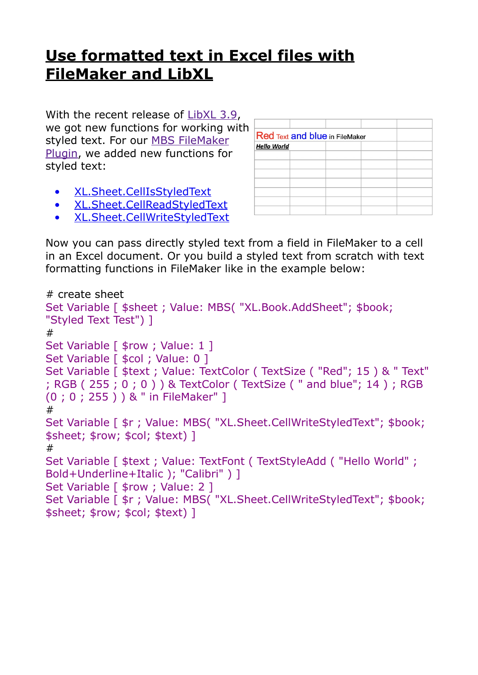## **[Use formatted text in Excel files with](https://www.mbs-plugins.com/archive/2020-04-23/Use_formatted_text_in_Excel_fi/monkeybreadsoftware_blog_filemaker)  [FileMaker and LibXL](https://www.mbs-plugins.com/archive/2020-04-23/Use_formatted_text_in_Excel_fi/monkeybreadsoftware_blog_filemaker)**

With the recent release of [LibXL 3.9](https://www.monkeybreadsoftware.com/filemaker/libxl.shtml), we got new functions for working with styled text. For our [MBS FileMaker](https://www.monkeybreadsoftware.com/filemaker/)  [Plugin,](https://www.monkeybreadsoftware.com/filemaker/) we added new functions for styled text:

- [XL.Sheet.CellIsStyledText](https://www.mbsplugins.eu/XLSheetCellIsStyledText.shtml)
- [XL.Sheet.CellReadStyledText](https://www.mbsplugins.eu/XLSheetCellReadStyledText.shtml)
- [XL.Sheet.CellWriteStyledText](https://www.mbsplugins.eu/XLSheetCellWriteStyledText.shtml)

| <b>Red Text and blue in FileMaker</b> |  |  |  |
|---------------------------------------|--|--|--|
|                                       |  |  |  |
| <b>Hello World</b>                    |  |  |  |
|                                       |  |  |  |
|                                       |  |  |  |
|                                       |  |  |  |
|                                       |  |  |  |
|                                       |  |  |  |
|                                       |  |  |  |
|                                       |  |  |  |
|                                       |  |  |  |

Now you can pass directly styled text from a field in FileMaker to a cell in an Excel document. Or you build a styled text from scratch with text formatting functions in FileMaker like in the example below:

```
# create sheet 
Set Variable [ $sheet ; Value: MBS( "XL.Book.AddSheet"; $book; 
"Styled Text Test") ] 
# 
Set Variable [ $row ; Value: 1 ]
Set Variable [ $col ; Value: 0 ]
Set Variable [ $text ; Value: TextColor ( TextSize ( "Red"; 15 ) & " Text" 
; RGB ( 255 ; 0 ; 0 ) ) & TextColor ( TextSize ( " and blue"; 14 ) ; RGB 
(0 ; 0 ; 255 ) ) & " in FileMaker" ] 
# 
Set Variable [ $r ; Value: MBS( "XL.Sheet.CellWriteStyledText"; $book; 
$sheet; $row; $col; $text) ] 
# 
Set Variable [ $text ; Value: TextFont ( TextStyleAdd ( "Hello World" ; 
Bold+Underline+Italic ); "Calibri" ) ] 
Set Variable [ $row ; Value: 2 ]
Set Variable [ $r ; Value: MBS( "XL.Sheet.CellWriteStyledText"; $book; 
$sheet; $row; $col; $text) ]
```